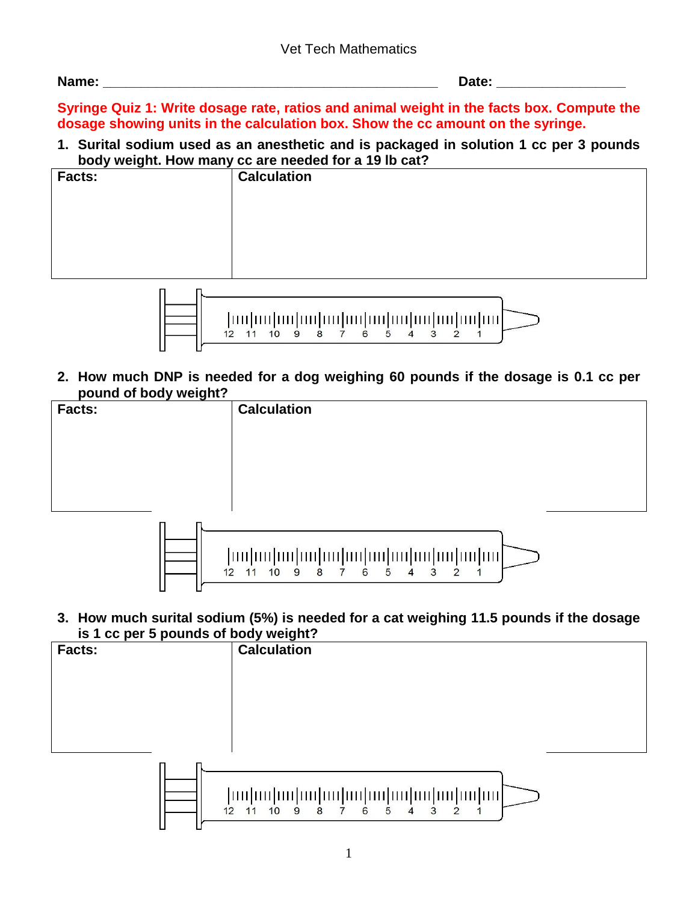| Name: | $-$ - $-$ |
|-------|-----------|
|       | _____     |

**Syringe Quiz 1: Write dosage rate, ratios and animal weight in the facts box. Compute the dosage showing units in the calculation box. Show the cc amount on the syringe.**

**1. Surital sodium used as an anesthetic and is packaged in solution 1 cc per 3 pounds body weight. How many cc are needed for a 19 lb cat?**



**2. How much DNP is needed for a dog weighing 60 pounds if the dosage is 0.1 cc per pound of body weight?**





**3. How much surital sodium (5%) is needed for a cat weighing 11.5 pounds if the dosage is 1 cc per 5 pounds of body weight?**